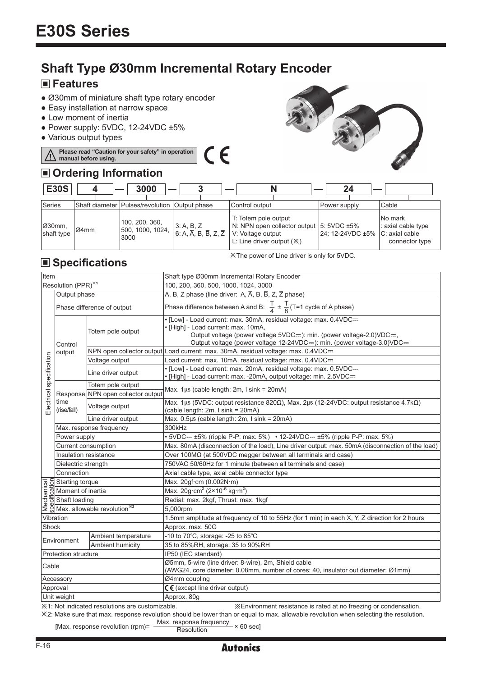# **Shaft Type Ø30mm Incremental Rotary Encoder**

## **Features**

Λ

- Ø30mm of miniature shaft type rotary encoder
- Easy installation at narrow space
- Low moment of inertia
- $\bullet$  Power supply: 5VDC, 12-24VDC  $\pm 5\%$
- Various output types

#### CE **Please read "Caution for your safety" in operation manual before using.**

## **Ordering Information**



| <b>E30S</b>          |          | 3000                                              |                                                                                                              |                                                                                                                       | 24                                    |                                                 |
|----------------------|----------|---------------------------------------------------|--------------------------------------------------------------------------------------------------------------|-----------------------------------------------------------------------------------------------------------------------|---------------------------------------|-------------------------------------------------|
| Series               |          | Shaft diameter   Pulses/revolution   Output phase |                                                                                                              | Control output                                                                                                        | Power supply                          | Cable                                           |
| Ø30mm,<br>shaft type | $104$ mm | 100, 200, 360,<br>500, 1000, 1024, I<br>3000      | $\begin{array}{ l l } 3: A, B, Z \\ \hline 6: A, \overline{A}, B, \overline{B}, Z, \overline{Z} \end{array}$ | T: Totem pole output<br>N: NPN open collector output 5: 5VDC ±5%<br>V: Voltage output<br>L: Line driver output $(\%)$ | $ 24:12-24VDC \pm 5\% C:$ axial cable | No mark<br>: axial cable type<br>connector type |

※The power of Line driver is only for 5VDC.

## **Specifications**

| Item                                                                                                                                                                                                                                                                                                                                    |                            |                                    | Shaft type Ø30mm Incremental Rotary Encoder                                                                                                                                                                                                                   |  |  |  |
|-----------------------------------------------------------------------------------------------------------------------------------------------------------------------------------------------------------------------------------------------------------------------------------------------------------------------------------------|----------------------------|------------------------------------|---------------------------------------------------------------------------------------------------------------------------------------------------------------------------------------------------------------------------------------------------------------|--|--|--|
| Resolution (PPR) <sup>*1</sup>                                                                                                                                                                                                                                                                                                          |                            |                                    | 100, 200, 360, 500, 1000, 1024, 3000                                                                                                                                                                                                                          |  |  |  |
|                                                                                                                                                                                                                                                                                                                                         | Output phase               |                                    | A, B, Z phase (line driver: A, A, B, B, Z, Z phase)                                                                                                                                                                                                           |  |  |  |
| Electrical specification                                                                                                                                                                                                                                                                                                                | Phase difference of output |                                    | Phase difference between A and B: $\frac{T}{4} \pm \frac{T}{8}$ (T=1 cycle of A phase)                                                                                                                                                                        |  |  |  |
|                                                                                                                                                                                                                                                                                                                                         | Control<br>output          | Totem pole output                  | . [Low] - Load current: max. 30mA, residual voltage: max. 0.4VDC=<br>· [High] - Load current: max. 10mA,<br>Output voltage (power voltage 5VDC==): min. (power voltage-2.0)VDC==,<br>Output voltage (power voltage 12-24VDC==): min. (power voltage-3.0)VDC== |  |  |  |
|                                                                                                                                                                                                                                                                                                                                         |                            |                                    | NPN open collector output Load current: max. 30mA, residual voltage: max. 0.4VDC=                                                                                                                                                                             |  |  |  |
|                                                                                                                                                                                                                                                                                                                                         |                            | Voltage output                     | Load current: max. 10mA, residual voltage: max. 0.4VDC=                                                                                                                                                                                                       |  |  |  |
|                                                                                                                                                                                                                                                                                                                                         |                            | Line driver output                 | . [Low] - Load current: max. 20mA, residual voltage: max. 0.5VDC=<br>• [High] - Load current: max. -20mA, output voltage: min. 2.5VDC==                                                                                                                       |  |  |  |
|                                                                                                                                                                                                                                                                                                                                         | time<br>(rise/fall)        | Totem pole output                  | Max. $1\mu s$ (cable length: 2m, I sink = 20mA)                                                                                                                                                                                                               |  |  |  |
|                                                                                                                                                                                                                                                                                                                                         |                            | Response NPN open collector output |                                                                                                                                                                                                                                                               |  |  |  |
|                                                                                                                                                                                                                                                                                                                                         |                            | Voltage output                     | Max. 1μs (5VDC: output resistance 820Ω), Max. 2μs (12-24VDC: output resistance 4.7kΩ)<br>(cable length: 2m, I sink = 20mA)                                                                                                                                    |  |  |  |
|                                                                                                                                                                                                                                                                                                                                         |                            | Line driver output                 | Max. $0.5\mu s$ (cable length: 2m, I sink = 20mA)                                                                                                                                                                                                             |  |  |  |
|                                                                                                                                                                                                                                                                                                                                         | Max. response frequency    |                                    | 300kHz                                                                                                                                                                                                                                                        |  |  |  |
|                                                                                                                                                                                                                                                                                                                                         | Power supply               |                                    | • 5VDC= $\pm$ 5% (ripple P-P: max. 5%) • 12-24VDC= $\pm$ 5% (ripple P-P: max. 5%)                                                                                                                                                                             |  |  |  |
|                                                                                                                                                                                                                                                                                                                                         | Current consumption        |                                    | Max. 80mA (disconnection of the load), Line driver output: max. 50mA (disconnection of the load)                                                                                                                                                              |  |  |  |
|                                                                                                                                                                                                                                                                                                                                         | Insulation resistance      |                                    | Over 100MΩ (at 500VDC megger between all terminals and case)                                                                                                                                                                                                  |  |  |  |
|                                                                                                                                                                                                                                                                                                                                         | Dielectric strength        |                                    | 750VAC 50/60Hz for 1 minute (between all terminals and case)                                                                                                                                                                                                  |  |  |  |
|                                                                                                                                                                                                                                                                                                                                         | Connection                 |                                    | Axial cable type, axial cable connector type                                                                                                                                                                                                                  |  |  |  |
|                                                                                                                                                                                                                                                                                                                                         |                            |                                    | Max. 20gf cm (0.002N·m)                                                                                                                                                                                                                                       |  |  |  |
|                                                                                                                                                                                                                                                                                                                                         |                            |                                    | Max. 20g·cm <sup>2</sup> ( $2 \times 10^{-6}$ kg·m <sup>2</sup> )                                                                                                                                                                                             |  |  |  |
|                                                                                                                                                                                                                                                                                                                                         |                            |                                    | Radial: max. 2kgf, Thrust: max. 1kgf                                                                                                                                                                                                                          |  |  |  |
| $\frac{\overline{6}}{\overline{6}}$ $\frac{\overline{6}}{\overline{6}}$ Starting torque<br>$\frac{\overline{6}}{\overline{6}}$ Shaft loading<br>$\frac{\overline{6}}{\overline{6}}$ Shaft loading<br>$\frac{\overline{6}}{\overline{6}}$ Shaft loading<br>$\frac{\overline{6}}{\overline{6}}$ Shax. allowable revolution <sup>362</sup> |                            |                                    | 5,000rpm                                                                                                                                                                                                                                                      |  |  |  |
| Vibration                                                                                                                                                                                                                                                                                                                               |                            |                                    | 1.5mm amplitude at frequency of 10 to 55Hz (for 1 min) in each X, Y, Z direction for 2 hours                                                                                                                                                                  |  |  |  |
| Shock                                                                                                                                                                                                                                                                                                                                   |                            |                                    | Approx. max. 50G                                                                                                                                                                                                                                              |  |  |  |
| Ambient temperature<br>Environment<br>Ambient humidity                                                                                                                                                                                                                                                                                  |                            |                                    | -10 to $70^{\circ}$ C, storage: -25 to $85^{\circ}$ C                                                                                                                                                                                                         |  |  |  |
|                                                                                                                                                                                                                                                                                                                                         |                            |                                    | 35 to 85%RH, storage: 35 to 90%RH                                                                                                                                                                                                                             |  |  |  |
| Protection structure                                                                                                                                                                                                                                                                                                                    |                            |                                    | IP50 (IEC standard)                                                                                                                                                                                                                                           |  |  |  |
| Cable                                                                                                                                                                                                                                                                                                                                   |                            |                                    | Ø5mm, 5-wire (line driver: 8-wire), 2m, Shield cable<br>(AWG24, core diameter: 0.08mm, number of cores: 40, insulator out diameter: Ø1mm)                                                                                                                     |  |  |  |
| Accessory                                                                                                                                                                                                                                                                                                                               |                            |                                    | Ø4mm coupling                                                                                                                                                                                                                                                 |  |  |  |
| Approval                                                                                                                                                                                                                                                                                                                                |                            |                                    | $C \in$ (except line driver output)                                                                                                                                                                                                                           |  |  |  |
| Unit weight                                                                                                                                                                                                                                                                                                                             |                            |                                    | Approx. 80q                                                                                                                                                                                                                                                   |  |  |  |

※1: Not indicated resolutions are customizable. ※Environment resistance is rated at no freezing or condensation.

※2: Make sure that max. response revolution should be lower than or equal to max. allowable revolution when selecting the resolution.

[Max. response revolution (rpm)=  $\frac{\text{Max.} \text{ response frequency}}{\text{Resolution}} \times 60 \text{ sec}$ ]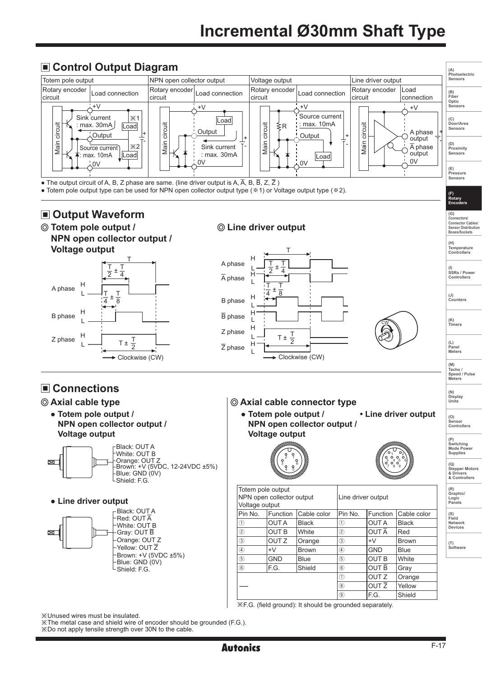

※The metal case and shield wire of encoder should be grounded (F.G.).

※Do not apply tensile strength over 30N to the cable.